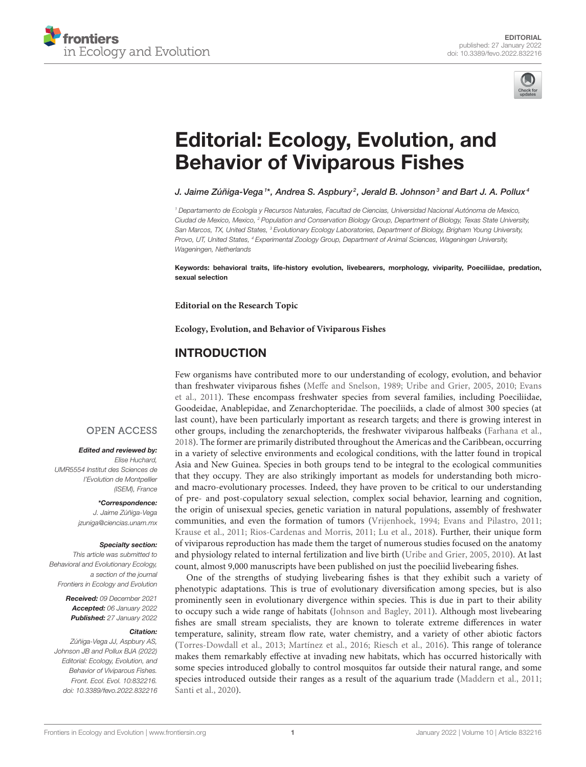



# [Editorial: Ecology, Evolution, and](https://www.frontiersin.org/articles/10.3389/fevo.2022.832216/full) Behavior of Viviparous Fishes

J. Jaime Zúñiga-Vega  $^{\rm t*}$ , Andrea S. Aspbury $^2$ , Jerald B. Johnson $^3$  and Bart J. A. Pollux $^4$ 

<sup>1</sup> Departamento de Ecología y Recursos Naturales, Facultad de Ciencias, Universidad Nacional Autónoma de Mexico, Ciudad de Mexico, Mexico, <sup>2</sup> Population and Conservation Biology Group, Department of Biology, Texas State University, San Marcos, TX, United States, <sup>3</sup> Evolutionary Ecology Laboratories, Department of Biology, Brigham Young University, Provo, UT, United States, <sup>4</sup> Experimental Zoology Group, Department of Animal Sciences, Wageningen University, Wageningen, Netherlands

Keywords: behavioral traits, life-history evolution, livebearers, morphology, viviparity, Poeciliidae, predation, sexual selection

**Editorial on the Research Topic**

**[Ecology, Evolution, and Behavior of Viviparous Fishes](https://www.frontiersin.org/research-topics/13070/ecology-evolution-and-behavior-of-viviparous-fishes)**

#### INTRODUCTION

Few organisms have contributed more to our understanding of ecology, evolution, and behavior than freshwater viviparous fishes [\(Meffe and Snelson, 1989;](#page-4-0) [Uribe and Grier, 2005,](#page-5-0) [2010;](#page-5-1) Evans et al., [2011\)](#page-4-1). These encompass freshwater species from several families, including Poeciliidae, Goodeidae, Anablepidae, and Zenarchopteridae. The poeciliids, a clade of almost 300 species (at last count), have been particularly important as research targets; and there is growing interest in other groups, including the zenarchopterids, the freshwater viviparous halfbeaks [\(Farhana et al.,](#page-4-2) [2018\)](#page-4-2). The former are primarily distributed throughout the Americas and the Caribbean, occurring in a variety of selective environments and ecological conditions, with the latter found in tropical Asia and New Guinea. Species in both groups tend to be integral to the ecological communities that they occupy. They are also strikingly important as models for understanding both microand macro-evolutionary processes. Indeed, they have proven to be critical to our understanding of pre- and post-copulatory sexual selection, complex social behavior, learning and cognition, the origin of unisexual species, genetic variation in natural populations, assembly of freshwater communities, and even the formation of tumors [\(Vrijenhoek, 1994;](#page-5-2) [Evans and Pilastro, 2011;](#page-4-3) [Krause et al., 2011;](#page-4-4) [Rios-Cardenas and Morris, 2011;](#page-4-5) [Lu et al.,](#page-4-6) [2018\)](#page-4-6). Further, their unique form of viviparous reproduction has made them the target of numerous studies focused on the anatomy and physiology related to internal fertilization and live birth [\(Uribe and Grier, 2005,](#page-5-0) [2010\)](#page-5-1). At last count, almost 9,000 manuscripts have been published on just the poeciliid livebearing fishes.

One of the strengths of studying livebearing fishes is that they exhibit such a variety of phenotypic adaptations. This is true of evolutionary diversification among species, but is also prominently seen in evolutionary divergence within species. This is due in part to their ability to occupy such a wide range of habitats [\(Johnson and Bagley, 2011\)](#page-4-7). Although most livebearing fishes are small stream specialists, they are known to tolerate extreme differences in water temperature, salinity, stream flow rate, water chemistry, and a variety of other abiotic factors [\(Torres-Dowdall et al., 2013;](#page-5-3) [Martínez et al., 2016;](#page-4-8) [Riesch et](#page-4-9) al., [2016\)](#page-4-9). This range of tolerance makes them remarkably effective at invading new habitats, which has occurred historically with some species introduced globally to control mosquitos far outside their natural range, and some species introduced outside their ranges as a result of the aquarium trade [\(Maddern et al., 2011;](#page-4-10) [Santi et al., 2020\)](#page-4-11).

#### **OPEN ACCESS**

#### Edited and reviewed by:

Elise Huchard, UMR5554 Institut des Sciences de l'Evolution de Montpellier (ISEM), France

> \*Correspondence: J. Jaime Zúñiga-Vega [jzuniga@ciencias.unam.mx](mailto:jzuniga@ciencias.unam.mx)

#### Specialty section:

This article was submitted to Behavioral and Evolutionary Ecology, a section of the journal Frontiers in Ecology and Evolution

> Received: 09 December 2021 Accepted: 06 January 2022 Published: 27 January 2022

#### Citation:

Zúñiga-Vega JJ, Aspbury AS, Johnson JB and Pollux BJA (2022) Editorial: Ecology, Evolution, and Behavior of Viviparous Fishes. Front. Ecol. Evol. 10:832216. doi: [10.3389/fevo.2022.832216](https://doi.org/10.3389/fevo.2022.832216)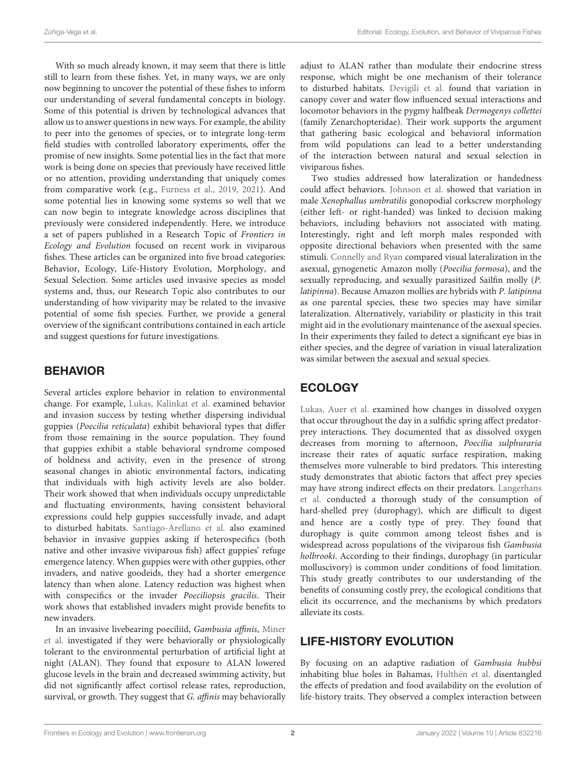With so much already known, it may seem that there is little still to learn from these fishes. Yet, in many ways, we are only now beginning to uncover the potential of these fishes to inform our understanding of several fundamental concepts in biology. Some of this potential is driven by technological advances that allow us to answer questions in new ways. For example, the ability to peer into the genomes of species, or to integrate long-term field studies with controlled laboratory experiments, offer the promise of new insights. Some potential lies in the fact that more work is being done on species that previously have received little or no attention, providing understanding that uniquely comes from comparative work (e.g., [Furness et al., 2019,](#page-4-12) [2021\)](#page-4-13). And some potential lies in knowing some systems so well that we can now begin to integrate knowledge across disciplines that previously were considered independently. Here, we introduce a set of papers published in a Research Topic of Frontiers in Ecology and Evolution focused on recent work in viviparous fishes. These articles can be organized into five broad categories: Behavior, Ecology, Life-History Evolution, Morphology, and Sexual Selection. Some articles used invasive species as model systems and, thus, our Research Topic also contributes to our understanding of how viviparity may be related to the invasive potential of some fish species. Further, we provide a general overview of the significant contributions contained in each article and suggest questions for future investigations.

#### BEHAVIOR

Several articles explore behavior in relation to environmental change. For example, [Lukas, Kalinkat et al.](https://doi.org/10.3389/fevo.2020.583670) examined behavior and invasion success by testing whether dispersing individual guppies (Poecilia reticulata) exhibit behavioral types that differ from those remaining in the source population. They found that guppies exhibit a stable behavioral syndrome composed of boldness and activity, even in the presence of strong seasonal changes in abiotic environmental factors, indicating that individuals with high activity levels are also bolder. Their work showed that when individuals occupy unpredictable and fluctuating environments, having consistent behavioral expressions could help guppies successfully invade, and adapt to disturbed habitats. [Santiago-Arellano et al.](https://doi.org/10.3389/fevo.2021.624245) also examined behavior in invasive guppies asking if heterospecifics (both native and other invasive viviparous fish) affect guppies' refuge emergence latency. When guppies were with other guppies, other invaders, and native goodeids, they had a shorter emergence latency than when alone. Latency reduction was highest when with conspecifics or the invader Poeciliopsis gracilis. Their work shows that established invaders might provide benefits to new invaders.

In an invasive livebearing poeciliid, Gambusia affinis, Miner et al. [investigated if they were behaviorally or physiologically](https://doi.org/10.3389/fevo.2021.617063) tolerant to the environmental perturbation of artificial light at night (ALAN). They found that exposure to ALAN lowered glucose levels in the brain and decreased swimming activity, but did not significantly affect cortisol release rates, reproduction, survival, or growth. They suggest that G. affinis may behaviorally adjust to ALAN rather than modulate their endocrine stress response, which might be one mechanism of their tolerance to disturbed habitats. [Devigili et al.](https://doi.org/10.3389/fevo.2021.607600) found that variation in canopy cover and water flow influenced sexual interactions and locomotor behaviors in the pygmy halfbeak Dermogenys collettei (family Zenarchopteridae). Their work supports the argument that gathering basic ecological and behavioral information from wild populations can lead to a better understanding of the interaction between natural and sexual selection in viviparous fishes.

Two studies addressed how lateralization or handedness could affect behaviors. [Johnson et al.](https://doi.org/10.3389/fevo.2020.606856) showed that variation in male Xenophallus umbratilis gonopodial corkscrew morphology (either left- or right-handed) was linked to decision making behaviors, including behaviors not associated with mating. Interestingly, right and left morph males responded with opposite directional behaviors when presented with the same stimuli. [Connelly and Ryan](https://doi.org/10.3389/fevo.2021.605943) compared visual lateralization in the asexual, gynogenetic Amazon molly (Poecilia formosa), and the sexually reproducing, and sexually parasitized Sailfin molly (P. latipinna). Because Amazon mollies are hybrids with P. latipinna as one parental species, these two species may have similar lateralization. Alternatively, variability or plasticity in this trait might aid in the evolutionary maintenance of the asexual species. In their experiments they failed to detect a significant eye bias in either species, and the degree of variation in visual lateralization was similar between the asexual and sexual species.

# ECOLOGY

[Lukas, Auer et al.](https://doi.org/10.3389/fevo.2021.619193) examined how changes in dissolved oxygen that occur throughout the day in a sulfidic spring affect predatorprey interactions. They documented that as dissolved oxygen decreases from morning to afternoon, Poecilia sulphuraria increase their rates of aquatic surface respiration, making themselves more vulnerable to bird predators. This interesting study demonstrates that abiotic factors that affect prey species may have strong indirect effects on their predators. Langerhans et al. [conducted a thorough study of the consumption of](https://doi.org/10.3389/fevo.2020.603387) hard-shelled prey (durophagy), which are difficult to digest and hence are a costly type of prey. They found that durophagy is quite common among teleost fishes and is widespread across populations of the viviparous fish Gambusia holbrooki. According to their findings, durophagy (in particular molluscivory) is common under conditions of food limitation. This study greatly contributes to our understanding of the benefits of consuming costly prey, the ecological conditions that elicit its occurrence, and the mechanisms by which predators alleviate its costs.

# LIFE-HISTORY EVOLUTION

By focusing on an adaptive radiation of Gambusia hubbsi inhabiting blue holes in Bahamas, [Hulthén et al.](https://doi.org/10.3389/fevo.2021.619277) disentangled the effects of predation and food availability on the evolution of life-history traits. They observed a complex interaction between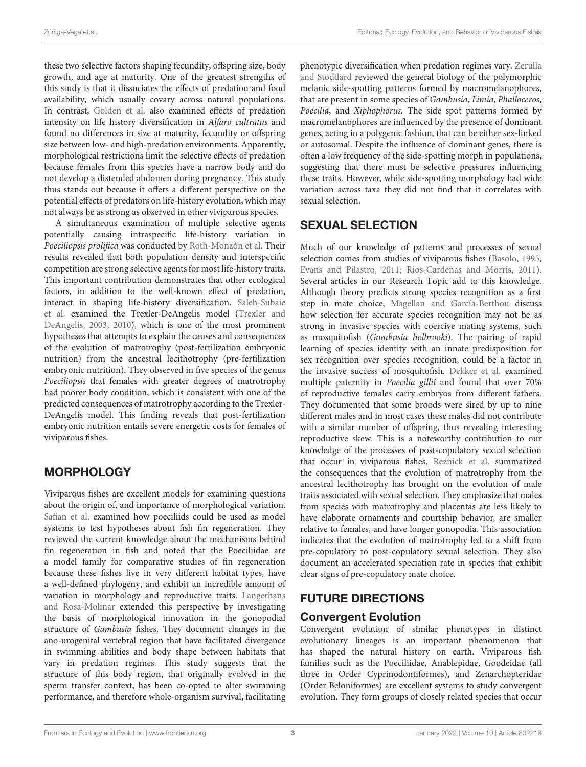these two selective factors shaping fecundity, offspring size, body growth, and age at maturity. One of the greatest strengths of this study is that it dissociates the effects of predation and food availability, which usually covary across natural populations. In contrast, [Golden et al.](https://doi.org/10.3389/fevo.2021.607802) also examined effects of predation intensity on life history diversification in Alfaro cultratus and found no differences in size at maturity, fecundity or offspring size between low- and high-predation environments. Apparently, morphological restrictions limit the selective effects of predation because females from this species have a narrow body and do not develop a distended abdomen during pregnancy. This study thus stands out because it offers a different perspective on the potential effects of predators on life-history evolution, which may not always be as strong as observed in other viviparous species.

A simultaneous examination of multiple selective agents potentially causing intraspecific life-history variation in Poeciliopsis prolifica was conducted by [Roth-Monzón et al.](https://doi.org/10.3389/fevo.2020.608046) Their results revealed that both population density and interspecific competition are strong selective agents for most life-history traits. This important contribution demonstrates that other ecological factors, in addition to the well-known effect of predation, interact in shaping life-history diversification. Saleh-Subaie et al. [examined the Trexler-DeAngelis model \(Trexler and](https://doi.org/10.3389/fevo.2021.690430) DeAngelis, [2003,](#page-5-4) [2010\)](#page-5-5), which is one of the most prominent hypotheses that attempts to explain the causes and consequences of the evolution of matrotrophy (post-fertilization embryonic nutrition) from the ancestral lecithotrophy (pre-fertilization embryonic nutrition). They observed in five species of the genus Poeciliopsis that females with greater degrees of matrotrophy had poorer body condition, which is consistent with one of the predicted consequences of matrotrophy according to the Trexler-DeAngelis model. This finding reveals that post-fertilization embryonic nutrition entails severe energetic costs for females of viviparous fishes.

# **MORPHOLOGY**

Viviparous fishes are excellent models for examining questions about the origin of, and importance of morphological variation. [Safian et al.](https://doi.org/10.3389/fevo.2021.613157) examined how poeciliids could be used as model systems to test hypotheses about fish fin regeneration. They reviewed the current knowledge about the mechanisms behind fin regeneration in fish and noted that the Poeciliidae are a model family for comparative studies of fin regeneration because these fishes live in very different habitat types, have a well-defined phylogeny, and exhibit an incredible amount of [variation in morphology and reproductive traits.](https://doi.org/10.3389/fevo.2021.619232) Langerhans and Rosa-Molinar extended this perspective by investigating the basis of morphological innovation in the gonopodial structure of Gambusia fishes. They document changes in the ano-urogenital vertebral region that have facilitated divergence in swimming abilities and body shape between habitats that vary in predation regimes. This study suggests that the structure of this body region, that originally evolved in the sperm transfer context, has been co-opted to alter swimming performance, and therefore whole-organism survival, facilitating [phenotypic diversification when predation regimes vary.](https://doi.org/10.3389/fevo.2020.608289) Zerulla and Stoddard reviewed the general biology of the polymorphic melanic side-spotting patterns formed by macromelanophores, that are present in some species of Gambusia, Limia, Phalloceros, Poecilia, and Xiphophorus. The side spot patterns formed by macromelanophores are influenced by the presence of dominant genes, acting in a polygenic fashion, that can be either sex-linked or autosomal. Despite the influence of dominant genes, there is often a low frequency of the side-spotting morph in populations, suggesting that there must be selective pressures influencing these traits. However, while side-spotting morphology had wide variation across taxa they did not find that it correlates with sexual selection.

# SEXUAL SELECTION

Much of our knowledge of patterns and processes of sexual selection comes from studies of viviparous fishes [\(Basolo, 1995;](#page-4-14) [Evans and Pilastro, 2011;](#page-4-3) [Rios-Cardenas and Morris, 2011\)](#page-4-5). Several articles in our Research Topic add to this knowledge. Although theory predicts strong species recognition as a first step in mate choice, [Magellan and García-Berthou](https://doi.org/10.3389/fevo.2021.646357) discuss how selection for accurate species recognition may not be as strong in invasive species with coercive mating systems, such as mosquitofish (Gambusia holbrooki). The pairing of rapid learning of species identity with an innate predisposition for sex recognition over species recognition, could be a factor in the invasive success of mosquitofish. [Dekker et al.](https://doi.org/10.3389/fevo.2020.579105) examined multiple paternity in Poecilia gillii and found that over 70% of reproductive females carry embryos from different fathers. They documented that some broods were sired by up to nine different males and in most cases these males did not contribute with a similar number of offspring, thus revealing interesting reproductive skew. This is a noteworthy contribution to our knowledge of the processes of post-copulatory sexual selection that occur in viviparous fishes. [Reznick et al.](https://doi.org/10.3389/fevo.2021.639751) summarized the consequences that the evolution of matrotrophy from the ancestral lecithotrophy has brought on the evolution of male traits associated with sexual selection. They emphasize that males from species with matrotrophy and placentas are less likely to have elaborate ornaments and courtship behavior, are smaller relative to females, and have longer gonopodia. This association indicates that the evolution of matrotrophy led to a shift from pre-copulatory to post-copulatory sexual selection. They also document an accelerated speciation rate in species that exhibit clear signs of pre-copulatory mate choice.

# FUTURE DIRECTIONS

#### Convergent Evolution

Convergent evolution of similar phenotypes in distinct evolutionary lineages is an important phenomenon that has shaped the natural history on earth. Viviparous fish families such as the Poeciliidae, Anablepidae, Goodeidae (all three in Order Cyprinodontiformes), and Zenarchopteridae (Order Beloniformes) are excellent systems to study convergent evolution. They form groups of closely related species that occur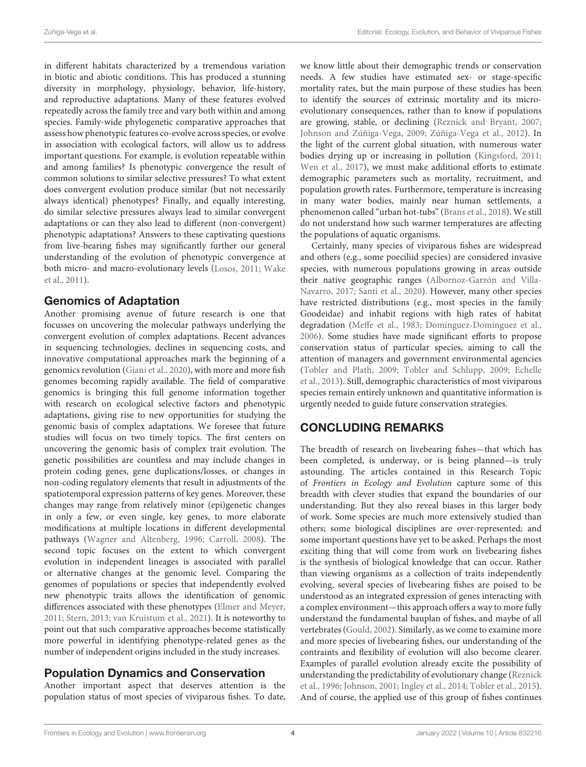in different habitats characterized by a tremendous variation in biotic and abiotic conditions. This has produced a stunning diversity in morphology, physiology, behavior, life-history, and reproductive adaptations. Many of these features evolved repeatedly across the family tree and vary both within and among species. Family-wide phylogenetic comparative approaches that assess how phenotypic features co-evolve across species, or evolve in association with ecological factors, will allow us to address important questions. For example, is evolution repeatable within and among families? Is phenotypic convergence the result of common solutions to similar selective pressures? To what extent does convergent evolution produce similar (but not necessarily always identical) phenotypes? Finally, and equally interesting, do similar selective pressures always lead to similar convergent adaptations or can they also lead to different (non-convergent) phenotypic adaptations? Answers to these captivating questions from live-bearing fishes may significantly further our general understanding of the evolution of phenotypic convergence at both micro- and macro-evolutionary levels [\(Losos, 2011;](#page-4-15) Wake et al., [2011\)](#page-5-6).

#### Genomics of Adaptation

Another promising avenue of future research is one that focusses on uncovering the molecular pathways underlying the convergent evolution of complex adaptations. Recent advances in sequencing technologies, declines in sequencing costs, and innovative computational approaches mark the beginning of a genomics revolution [\(Giani et al., 2020\)](#page-4-16), with more and more fish genomes becoming rapidly available. The field of comparative genomics is bringing this full genome information together with research on ecological selective factors and phenotypic adaptations, giving rise to new opportunities for studying the genomic basis of complex adaptations. We foresee that future studies will focus on two timely topics. The first centers on uncovering the genomic basis of complex trait evolution. The genetic possibilities are countless and may include changes in protein coding genes, gene duplications/losses, or changes in non-coding regulatory elements that result in adjustments of the spatiotemporal expression patterns of key genes. Moreover, these changes may range from relatively minor (epi)genetic changes in only a few, or even single, key genes, to more elaborate modifications at multiple locations in different developmental pathways [\(Wagner and Altenberg, 1996;](#page-5-7) [Carroll, 2008\)](#page-4-17). The second topic focuses on the extent to which convergent evolution in independent lineages is associated with parallel or alternative changes at the genomic level. Comparing the genomes of populations or species that independently evolved new phenotypic traits allows the identification of genomic differences associated with these phenotypes [\(Elmer and Meyer,](#page-4-18) [2011;](#page-4-18) [Stern, 2013;](#page-4-19) [van Kruistum et al., 2021\)](#page-5-8). It is noteworthy to point out that such comparative approaches become statistically more powerful in identifying phenotype-related genes as the number of independent origins included in the study increases.

#### Population Dynamics and Conservation

Another important aspect that deserves attention is the population status of most species of viviparous fishes. To date, we know little about their demographic trends or conservation needs. A few studies have estimated sex- or stage-specific mortality rates, but the main purpose of these studies has been to identify the sources of extrinsic mortality and its microevolutionary consequences, rather than to know if populations are growing, stable, or declining [\(Reznick and Bryant, 2007;](#page-4-20) [Johnson and Zúñiga-Vega, 2009;](#page-4-21) [Zúñiga-Vega et al., 2012\)](#page-5-9). In the light of the current global situation, with numerous water bodies drying up or increasing in pollution [\(Kingsford, 2011;](#page-4-22) [Wen et al., 2017\)](#page-5-10), we must make additional efforts to estimate demographic parameters such as mortality, recruitment, and population growth rates. Furthermore, temperature is increasing in many water bodies, mainly near human settlements, a phenomenon called "urban hot-tubs" [\(Brans et al., 2018\)](#page-4-23). We still do not understand how such warmer temperatures are affecting the populations of aquatic organisms.

Certainly, many species of viviparous fishes are widespread and others (e.g., some poeciliid species) are considered invasive species, with numerous populations growing in areas outside their native geographic ranges (Albornoz-Garzón and Villa-Navarro, [2017;](#page-4-24) [Santi et al., 2020\)](#page-4-11). However, many other species have restricted distributions (e.g., most species in the family Goodeidae) and inhabit regions with high rates of habitat degradation [\(Meffe et al., 1983;](#page-4-25) [Domínguez-Domínguez et al.,](#page-4-26) [2006\)](#page-4-26). Some studies have made significant efforts to propose conservation status of particular species, aiming to call the attention of managers and government environmental agencies [\(Tobler and Plath, 2009;](#page-4-27) [Tobler and Schlupp, 2009;](#page-5-11) Echelle et al., [2013\)](#page-4-28). Still, demographic characteristics of most viviparous species remain entirely unknown and quantitative information is urgently needed to guide future conservation strategies.

# CONCLUDING REMARKS

The breadth of research on livebearing fishes—that which has been completed, is underway, or is being planned—is truly astounding. The articles contained in this Research Topic of Frontiers in Ecology and Evolution capture some of this breadth with clever studies that expand the boundaries of our understanding. But they also reveal biases in this larger body of work. Some species are much more extensively studied than others; some biological disciplines are over-represented; and some important questions have yet to be asked. Perhaps the most exciting thing that will come from work on livebearing fishes is the synthesis of biological knowledge that can occur. Rather than viewing organisms as a collection of traits independently evolving, several species of livebearing fishes are poised to be understood as an integrated expression of genes interacting with a complex environment—this approach offers a way to more fully understand the fundamental bauplan of fishes, and maybe of all vertebrates [\(Gould, 2002\)](#page-4-29). Similarly, as we come to examine more and more species of livebearing fishes, our understanding of the contraints and flexibility of evolution will also become clearer. Examples of parallel evolution already excite the possibility of understanding the predictability of evolutionary change (Reznick et al., [1996;](#page-4-30) [Johnson, 2001;](#page-4-31) [Ingley et al., 2014;](#page-4-32) [Tobler et al., 2015\)](#page-5-12). And of course, the applied use of this group of fishes continues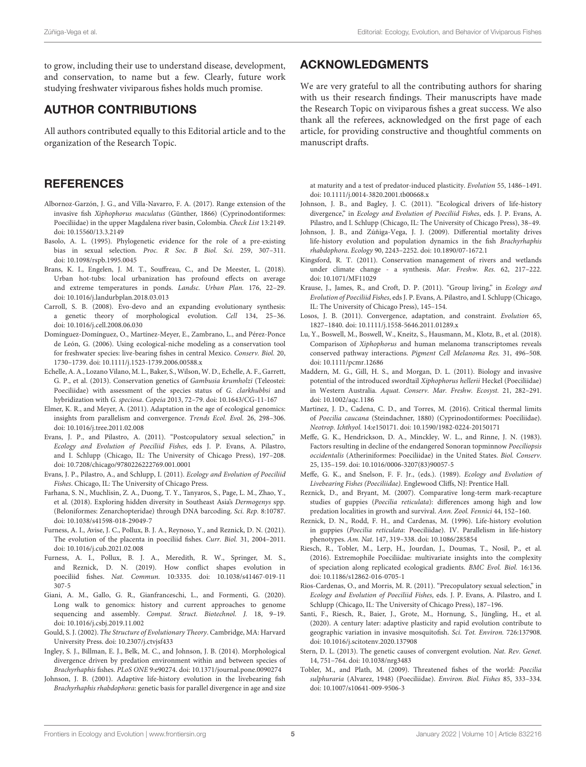to grow, including their use to understand disease, development, and conservation, to name but a few. Clearly, future work studying freshwater viviparous fishes holds much promise.

# AUTHOR CONTRIBUTIONS

All authors contributed equally to this Editorial article and to the organization of the Research Topic.

#### **REFERENCES**

- <span id="page-4-24"></span>Albornoz-Garzón, J. G., and Villa-Navarro, F. A. (2017). Range extension of the invasive fish Xiphophorus maculatus (Günther, 1866) (Cyprinodontiformes: Poeciliidae) in the upper Magdalena river basin, Colombia. Check List 13:2149. doi: [10.15560/13.3.2149](https://doi.org/10.15560/13.3.2149)
- <span id="page-4-14"></span>Basolo, A. L. (1995). Phylogenetic evidence for the role of a pre-existing bias in sexual selection. Proc. R Soc. B Biol. Sci. 259, 307–311. doi: [10.1098/rspb.1995.0045](https://doi.org/10.1098/rspb.1995.0045)
- <span id="page-4-23"></span>Brans, K. I., Engelen, J. M. T., Souffreau, C., and De Meester, L. (2018). Urban hot-tubs: local urbanization has profound effects on average and extreme temperatures in ponds. Landsc. Urban Plan. 176, 22–29. doi: [10.1016/j.landurbplan.2018.03.013](https://doi.org/10.1016/j.landurbplan.2018.03.013)
- <span id="page-4-17"></span>Carroll, S. B. (2008). Evo-devo and an expanding evolutionary synthesis: a genetic theory of morphological evolution. Cell 134, 25–36. doi: [10.1016/j.cell.2008.06.030](https://doi.org/10.1016/j.cell.2008.06.030)
- <span id="page-4-26"></span>Domínguez-Domínguez, O., Martínez-Meyer, E., Zambrano, L., and Pérez-Ponce de León, G. (2006). Using ecological-niche modeling as a conservation tool for freshwater species: live-bearing fishes in central Mexico. Conserv. Biol. 20, 1730–1739. doi: [10.1111/j.1523-1739.2006.00588.x](https://doi.org/10.1111/j.1523-1739.2006.00588.x)
- <span id="page-4-28"></span>Echelle, A. A., Lozano Vilano, M. L., Baker, S., Wilson, W. D., Echelle, A. F., Garrett, G. P., et al. (2013). Conservation genetics of Gambusia krumholzi (Teleostei: Poeciliidae) with assessment of the species status of G. clarkhubbsi and hybridization with G. speciosa. Copeia 2013, 72–79. doi: [10.1643/CG-11-167](https://doi.org/10.1643/CG-11-167)
- <span id="page-4-18"></span>Elmer, K. R., and Meyer, A. (2011). Adaptation in the age of ecological genomics: insights from parallelism and convergence. Trends Ecol. Evol. 26, 298–306. doi: [10.1016/j.tree.2011.02.008](https://doi.org/10.1016/j.tree.2011.02.008)
- <span id="page-4-3"></span>Evans, J. P., and Pilastro, A. (2011). "Postcopulatory sexual selection," in Ecology and Evolution of Poeciliid Fishes, eds J. P. Evans, A. Pilastro, and I. Schlupp (Chicago, IL: The University of Chicago Press), 197–208. doi: [10.7208/chicago/9780226222769.001.0001](https://doi.org/10.7208/chicago/9780226222769.001.0001)
- <span id="page-4-1"></span>Evans, J. P., Pilastro, A., and Schlupp, I. (2011). Ecology and Evolution of Poeciliid Fishes. Chicago, IL: The University of Chicago Press.
- <span id="page-4-2"></span>Farhana, S. N., Muchlisin, Z. A., Duong, T. Y., Tanyaros, S., Page, L. M., Zhao, Y., et al. (2018). Exploring hidden diversity in Southeast Asia's Dermogenys spp. (Beloniformes: Zenarchopteridae) through DNA barcoding. Sci. Rep. 8:10787. doi: [10.1038/s41598-018-29049-7](https://doi.org/10.1038/s41598-018-29049-7)
- <span id="page-4-13"></span>Furness, A. I., Avise, J. C., Pollux, B. J. A., Reynoso, Y., and Reznick, D. N. (2021). The evolution of the placenta in poeciliid fishes. Curr. Biol. 31, 2004–2011. doi: [10.1016/j.cub.2021.02.008](https://doi.org/10.1016/j.cub.2021.02.008)
- <span id="page-4-12"></span>Furness, A. I., Pollux, B. J. A., Meredith, R. W., Springer, M. S., and Reznick, D. N. (2019). How conflict shapes evolution in poeciliid fishes. Nat. Commun. [10:3335. doi: 10.1038/s41467-019-11](https://doi.org/10.1038/s41467-019-11307-5) 307-5
- <span id="page-4-16"></span>Giani, A. M., Gallo, G. R., Gianfranceschi, L., and Formenti, G. (2020). Long walk to genomics: history and current approaches to genome sequencing and assembly. Comput. Struct. Biotechnol. J. 18, 9–19. doi: [10.1016/j.csbj.2019.11.002](https://doi.org/10.1016/j.csbj.2019.11.002)
- <span id="page-4-29"></span>Gould, S. J. (2002). The Structure of Evolutionary Theory. Cambridge, MA: Harvard University Press. doi: [10.2307/j.ctvjsf433](https://doi.org/10.2307/j.ctvjsf433)
- <span id="page-4-32"></span>Ingley, S. J., Billman, E. J., Belk, M. C., and Johnson, J. B. (2014). Morphological divergence driven by predation environment within and between species of Brachyrhaphis fishes. PLoS ONE 9:e90274. doi: [10.1371/journal.pone.0090274](https://doi.org/10.1371/journal.pone.0090274)
- <span id="page-4-31"></span>Johnson, J. B. (2001). Adaptive life-history evolution in the livebearing fish Brachyrhaphis rhabdophora: genetic basis for parallel divergence in age and size

#### ACKNOWLEDGMENTS

We are very grateful to all the contributing authors for sharing with us their research findings. Their manuscripts have made the Research Topic on viviparous fishes a great success. We also thank all the referees, acknowledged on the first page of each article, for providing constructive and thoughtful comments on manuscript drafts.

at maturity and a test of predator-induced plasticity. Evolution 55, 1486–1491. doi: [10.1111/j.0014-3820.2001.tb00668.x](https://doi.org/10.1111/j.0014-3820.2001.tb00668.x)

- <span id="page-4-7"></span>Johnson, J. B., and Bagley, J. C. (2011). "Ecological drivers of life-history divergence," in Ecology and Evolution of Poeciliid Fishes, eds. J. P. Evans, A. Pilastro, and I. Schlupp (Chicago, IL: The University of Chicago Press), 38–49.
- <span id="page-4-21"></span>Johnson, J. B., and Zúñiga-Vega, J. J. (2009). Differential mortality drives life-history evolution and population dynamics in the fish Brachyrhaphis rhabdophora. Ecology 90, 2243–2252. doi: [10.1890/07-1672.1](https://doi.org/10.1890/07-1672.1)
- <span id="page-4-22"></span>Kingsford, R. T. (2011). Conservation management of rivers and wetlands under climate change - a synthesis. Mar. Freshw. Res. 62, 217–222. doi: [10.1071/MF11029](https://doi.org/10.1071/MF11029)
- <span id="page-4-4"></span>Krause, J., James, R., and Croft, D. P. (2011). "Group living," in Ecology and Evolution of Poeciliid Fishes, eds J. P. Evans, A. Pilastro, and I. Schlupp (Chicago, IL: The University of Chicago Press), 145–154.
- <span id="page-4-15"></span>Losos, J. B. (2011). Convergence, adaptation, and constraint. Evolution 65, 1827–1840. doi: [10.1111/j.1558-5646.2011.01289.x](https://doi.org/10.1111/j.1558-5646.2011.01289.x)
- <span id="page-4-6"></span>Lu, Y., Boswell, M., Boswell, W., Kneitz, S., Hausmann, M., Klotz, B., et al. (2018). Comparison of Xiphophorus and human melanoma transcriptomes reveals conserved pathway interactions. Pigment Cell Melanoma Res. 31, 496–508. doi: [10.1111/pcmr.12686](https://doi.org/10.1111/pcmr.12686)
- <span id="page-4-10"></span>Maddern, M. G., Gill, H. S., and Morgan, D. L. (2011). Biology and invasive potential of the introduced swordtail Xiphophorus hellerii Heckel (Poeciliidae) in Western Australia. Aquat. Conserv. Mar. Freshw. Ecosyst. 21, 282–291. doi: [10.1002/aqc.1186](https://doi.org/10.1002/aqc.1186)
- <span id="page-4-8"></span>Martínez, J. D., Cadena, C. D., and Torres, M. (2016). Critical thermal limits of Poecilia caucana (Steindachner, 1880) (Cyprinodontiformes: Poeciliidae). Neotrop. Ichthyol. 14:e150171. doi: [10.1590/1982-0224-20150171](https://doi.org/10.1590/1982-0224-20150171)
- <span id="page-4-25"></span>Meffe, G. K., Hendrickson, D. A., Minckley, W. L., and Rinne, J. N. (1983). Factors resulting in decline of the endangered Sonoran topminnow Poeciliopsis occidentalis (Atheriniformes: Poeciliidae) in the United States. Biol. Conserv. 25, 135–159. doi: [10.1016/0006-3207\(83\)90057-5](https://doi.org/10.1016/0006-3207(83)90057-5)
- <span id="page-4-0"></span>Meffe, G. K., and Snelson, F. F. Jr., (eds.). (1989). Ecology and Evolution of Livebearing Fishes (Poeciliidae). Englewood Cliffs, NJ: Prentice Hall.
- <span id="page-4-20"></span>Reznick, D., and Bryant, M. (2007). Comparative long-term mark-recapture studies of guppies (Poecilia reticulata): differences among high and low predation localities in growth and survival. Ann. Zool. Fennici 44, 152–160.
- <span id="page-4-30"></span>Reznick, D. N., Rodd, F. H., and Cardenas, M. (1996). Life-history evolution in guppies (Poecilia reticulata: Poeciliidae). IV. Parallelism in life-history phenotypes. Am. Nat. 147, 319–338. doi: [10.1086/285854](https://doi.org/10.1086/285854)
- <span id="page-4-9"></span>Riesch, R., Tobler, M., Lerp, H., Jourdan, J., Doumas, T., Nosil, P., et al. (2016). Extremophile Poeciliidae: multivariate insights into the complexity of speciation along replicated ecological gradients. BMC Evol. Biol. 16:136. doi: [10.1186/s12862-016-0705-1](https://doi.org/10.1186/s12862-016-0705-1)
- <span id="page-4-5"></span>Rios-Cardenas, O., and Morris, M. R. (2011). "Precopulatory sexual selection," in Ecology and Evolution of Poeciliid Fishes, eds. J. P. Evans, A. Pilastro, and I. Schlupp (Chicago, IL: The University of Chicago Press), 187–196.
- <span id="page-4-11"></span>Santi, F., Riesch, R., Baier, J., Grote, M., Hornung, S., Jüngling, H., et al. (2020). A century later: adaptive plasticity and rapid evolution contribute to geographic variation in invasive mosquitofish. Sci. Tot. Environ. 726:137908. doi: [10.1016/j.scitotenv.2020.137908](https://doi.org/10.1016/j.scitotenv.2020.137908)
- <span id="page-4-19"></span>Stern, D. L. (2013). The genetic causes of convergent evolution. Nat. Rev. Genet. 14, 751–764. doi: [10.1038/nrg3483](https://doi.org/10.1038/nrg3483)
- <span id="page-4-27"></span>Tobler, M., and Plath, M. (2009). Threatened fishes of the world: Poecilia sulphuraria (Alvarez, 1948) (Poeciliidae). Environ. Biol. Fishes 85, 333–334. doi: [10.1007/s10641-009-9506-3](https://doi.org/10.1007/s10641-009-9506-3)